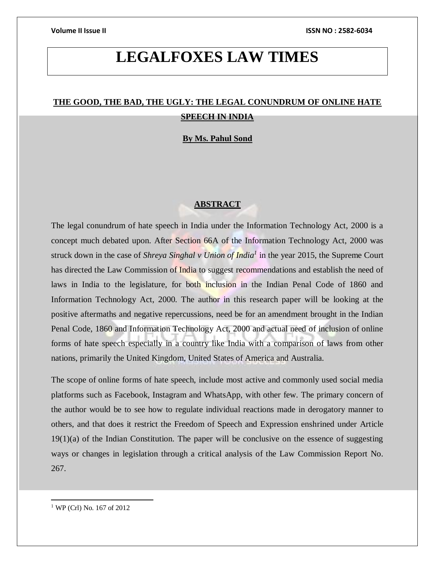# **LEGALFOXES LAW TIMES**

## **THE GOOD, THE BAD, THE UGLY: THE LEGAL CONUNDRUM OF ONLINE HATE SPEECH IN INDIA**

### **By Ms. Pahul Sond**

### **ABSTRACT**

The legal conundrum of hate speech in India under the Information Technology Act, 2000 is a concept much debated upon. After Section 66A of the Information Technology Act, 2000 was struck down in the case of *Shreya Singhal v Union of India<sup>1</sup>* in the year 2015, the Supreme Court has directed the Law Commission of India to suggest recommendations and establish the need of laws in India to the legislature, for both inclusion in the Indian Penal Code of 1860 and Information Technology Act, 2000. The author in this research paper will be looking at the positive aftermaths and negative repercussions, need be for an amendment brought in the Indian Penal Code, 1860 and Information Technology Act, 2000 and actual need of inclusion of online forms of hate speech especially in a country like India with a comparison of laws from other nations, primarily the United Kingdom, United States of America and Australia.

The scope of online forms of hate speech, include most active and commonly used social media platforms such as Facebook, Instagram and WhatsApp, with other few. The primary concern of the author would be to see how to regulate individual reactions made in derogatory manner to others, and that does it restrict the Freedom of Speech and Expression enshrined under Article  $19(1)(a)$  of the Indian Constitution. The paper will be conclusive on the essence of suggesting ways or changes in legislation through a critical analysis of the Law Commission Report No. 267.

<sup>1</sup> WP (Crl) No. 167 of 2012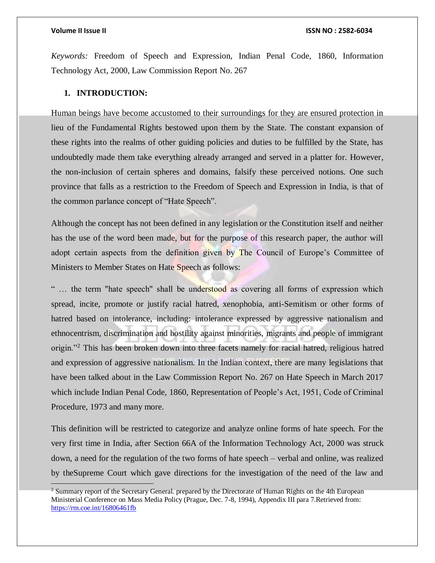*Keywords:* Freedom of Speech and Expression, Indian Penal Code, 1860, Information Technology Act, 2000, Law Commission Report No. 267

### **1. INTRODUCTION:**

Human beings have become accustomed to their surroundings for they are ensured protection in lieu of the Fundamental Rights bestowed upon them by the State. The constant expansion of these rights into the realms of other guiding policies and duties to be fulfilled by the State, has undoubtedly made them take everything already arranged and served in a platter for. However, the non-inclusion of certain spheres and domains, falsify these perceived notions. One such province that falls as a restriction to the Freedom of Speech and Expression in India, is that of the common parlance concept of "Hate Speech".

Although the concept has not been defined in any legislation or the Constitution itself and neither has the use of the word been made, but for the purpose of this research paper, the author will adopt certain aspects from the definition given by The Council of Europe's Committee of Ministers to Member States on Hate Speech as follows:

"... the term "hate speech" shall be understood as covering all forms of expression which spread, incite, promote or justify racial hatred, xenophobia, anti-Semitism or other forms of hatred based on intolerance, including: intolerance expressed by aggressive nationalism and ethnocentrism, discrimination and hostility against minorities, migrants and people of immigrant origin."<sup>2</sup> This has been broken down into three facets namely for racial hatred, religious hatred and expression of aggressive nationalism. In the Indian context, there are many legislations that have been talked about in the Law Commission Report No. 267 on Hate Speech in March 2017 which include Indian Penal Code, 1860, Representation of People's Act, 1951, Code of Criminal Procedure, 1973 and many more.

This definition will be restricted to categorize and analyze online forms of hate speech. For the very first time in India, after Section 66A of the Information Technology Act, 2000 was struck down, a need for the regulation of the two forms of hate speech – verbal and online, was realized by theSupreme Court which gave directions for the investigation of the need of the law and

<sup>&</sup>lt;sup>2</sup> Summary report of the Secretary General. prepared by the Directorate of Human Rights on the 4th European Ministerial Conference on Mass Media Policy (Prague, Dec. 7-8, 1994), Appendix III para 7.Retrieved from: <https://rm.coe.int/16806461fb>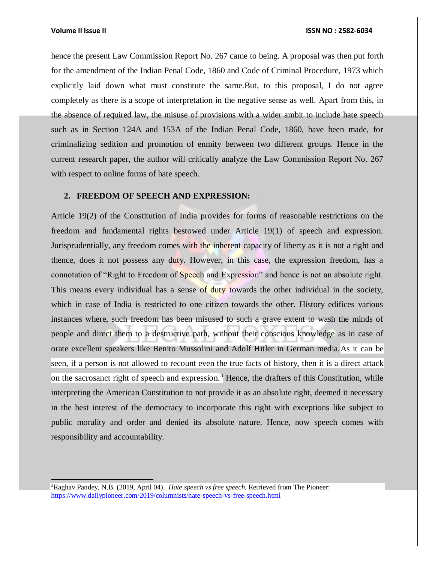### **Volume II Issue II ISSN NO : 2582-6034**

hence the present Law Commission Report No. 267 came to being. A proposal was then put forth for the amendment of the Indian Penal Code, 1860 and Code of Criminal Procedure, 1973 which explicitly laid down what must constitute the same.But, to this proposal, I do not agree completely as there is a scope of interpretation in the negative sense as well. Apart from this, in the absence of required law, the misuse of provisions with a wider ambit to include hate speech such as in Section 124A and 153A of the Indian Penal Code, 1860, have been made, for criminalizing sedition and promotion of enmity between two different groups. Hence in the current research paper, the author will critically analyze the Law Commission Report No. 267 with respect to online forms of hate speech.

### **2. FREEDOM OF SPEECH AND EXPRESSION:**

Article 19(2) of the Constitution of India provides for forms of reasonable restrictions on the freedom and fundamental rights bestowed under Article 19(1) of speech and expression. Jurisprudentially, any freedom comes with the inherent capacity of liberty as it is not a right and thence, does it not possess any duty. However, in this case, the expression freedom, has a connotation of "Right to Freedom of Speech and Expression" and hence is not an absolute right. This means every individual has a sense of duty towards the other individual in the society, which in case of India is restricted to one citizen towards the other. History edifices various instances where, such freedom has been misused to such a grave extent to wash the minds of people and direct them to a destructive path, without their conscious knowledge as in case of orate excellent speakers like Benito Mussolini and Adolf Hitler in German media.As it can be seen, if a person is not allowed to recount even the true facts of history, then it is a direct attack on the sacrosanct right of speech and expression.<sup>3</sup> Hence, the drafters of this Constitution, while interpreting the American Constitution to not provide it as an absolute right, deemed it necessary in the best interest of the democracy to incorporate this right with exceptions like subject to public morality and order and denied its absolute nature. Hence, now speech comes with responsibility and accountability.

<sup>3</sup>Raghav Pandey, N.B. (2019, April 04). *Hate speech vs free speech.* Retrieved from The Pioneer: <https://www.dailypioneer.com/2019/columnists/hate-speech-vs-free-speech.html>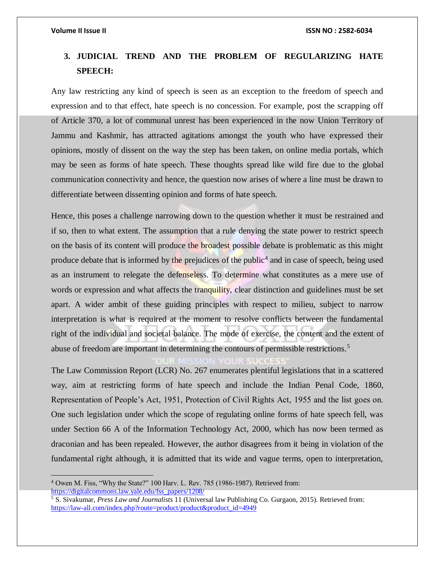## **3. JUDICIAL TREND AND THE PROBLEM OF REGULARIZING HATE SPEECH:**

Any law restricting any kind of speech is seen as an exception to the freedom of speech and expression and to that effect, hate speech is no concession. For example, post the scrapping off of Article 370, a lot of communal unrest has been experienced in the now Union Territory of Jammu and Kashmir, has attracted agitations amongst the youth who have expressed their opinions, mostly of dissent on the way the step has been taken, on online media portals, which may be seen as forms of hate speech. These thoughts spread like wild fire due to the global communication connectivity and hence, the question now arises of where a line must be drawn to differentiate between dissenting opinion and forms of hate speech.

Hence, this poses a challenge narrowing down to the question whether it must be restrained and if so, then to what extent. The assumption that a rule denying the state power to restrict speech on the basis of its content will produce the broadest possible debate is problematic as this might produce debate that is informed by the prejudices of the public<sup>4</sup> and in case of speech, being used as an instrument to relegate the defenseless. To determine what constitutes as a mere use of words or expression and what affects the tranquility, clear distinction and guidelines must be set apart. A wider ambit of these guiding principles with respect to milieu, subject to narrow interpretation is what is required at the moment to resolve conflicts between the fundamental right of the individual and societal balance. The mode of exercise, the content and the extent of abuse of freedom are important in determining the contours of permissible restrictions.<sup>5</sup>

The Law Commission Report (LCR) No. 267 enumerates plentiful legislations that in a scattered way, aim at restricting forms of hate speech and include the Indian Penal Code, 1860, Representation of People's Act, 1951, Protection of Civil Rights Act, 1955 and the list goes on. One such legislation under which the scope of regulating online forms of hate speech fell, was under Section 66 A of the Information Technology Act, 2000, which has now been termed as draconian and has been repealed. However, the author disagrees from it being in violation of the fundamental right although, it is admitted that its wide and vague terms, open to interpretation,

<sup>4</sup> Owen M. Fiss, "Why the State?" 100 Harv. L. Rev. 785 (1986-1987). Retrieved from: [https://digitalcommons.law.yale.edu/fss\\_papers/1208/](https://digitalcommons.law.yale.edu/fss_papers/1208/)

<sup>5</sup> S. Sivakumar, *Press Law and Journalists* 11 (Universal law Publishing Co. Gurgaon, 2015). Retrieved from: [https://law-all.com/index.php?route=product/product&product\\_id=4949](https://law-all.com/index.php?route=product/product&product_id=4949)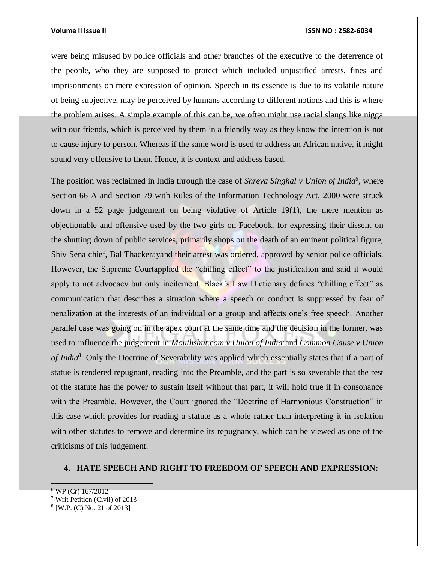were being misused by police officials and other branches of the executive to the deterrence of the people, who they are supposed to protect which included unjustified arrests, fines and imprisonments on mere expression of opinion. Speech in its essence is due to its volatile nature of being subjective, may be perceived by humans according to different notions and this is where the problem arises. A simple example of this can be, we often might use racial slangs like nigga with our friends, which is perceived by them in a friendly way as they know the intention is not to cause injury to person. Whereas if the same word is used to address an African native, it might sound very offensive to them. Hence, it is context and address based.

The position was reclaimed in India through the case of *Shreya Singhal v Union of India<sup>6</sup>* , where Section 66 A and Section 79 with Rules of the Information Technology Act, 2000 were struck down in a 52 page judgement on being violative of Article 19(1), the mere mention as objectionable and offensive used by the two girls on Facebook, for expressing their dissent on the shutting down of public services, primarily shops on the death of an eminent political figure, Shiv Sena chief, Bal Thackerayand their arrest was ordered, approved by senior police officials. However, the Supreme Courtapplied the "chilling effect" to the justification and said it would apply to not advocacy but only incitement. Black's Law Dictionary defines "chilling effect" as communication that describes a situation where a speech or conduct is suppressed by fear of penalization at the interests of an individual or a group and affects one's free speech. Another parallel case was going on in the apex court at the same time and the decision in the former, was used to influence the judgement in *Mouthshut.com v Union of India<sup>7</sup>* and *Common Cause v Union of India<sup>8</sup> .* Only the Doctrine of Severability was applied which essentially states that if a part of statue is rendered repugnant, reading into the Preamble, and the part is so severable that the rest of the statute has the power to sustain itself without that part, it will hold true if in consonance with the Preamble. However, the Court ignored the "Doctrine of Harmonious Construction" in this case which provides for reading a statute as a whole rather than interpreting it in isolation with other statutes to remove and determine its repugnancy, which can be viewed as one of the criticisms of this judgement.

### **4. HATE SPEECH AND RIGHT TO FREEDOM OF SPEECH AND EXPRESSION:**

<sup>6</sup> WP (Cr) 167/2012

<sup>7</sup> Writ Petition (Civil) of 2013

<sup>8</sup> [W.P. (C) No. 21 of 2013]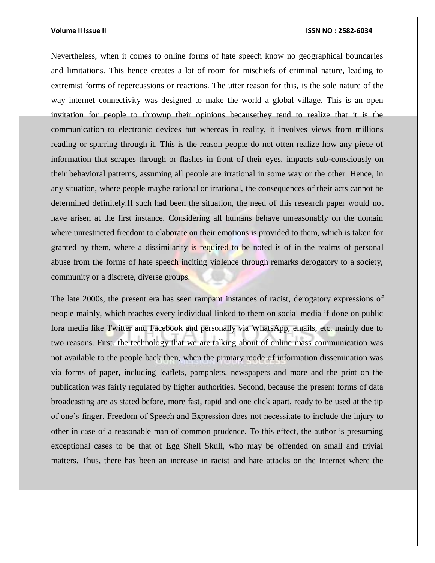Nevertheless, when it comes to online forms of hate speech know no geographical boundaries and limitations. This hence creates a lot of room for mischiefs of criminal nature, leading to extremist forms of repercussions or reactions. The utter reason for this, is the sole nature of the way internet connectivity was designed to make the world a global village. This is an open invitation for people to throwup their opinions becausethey tend to realize that it is the communication to electronic devices but whereas in reality, it involves views from millions reading or sparring through it. This is the reason people do not often realize how any piece of information that scrapes through or flashes in front of their eyes, impacts sub-consciously on their behavioral patterns, assuming all people are irrational in some way or the other. Hence, in any situation, where people maybe rational or irrational, the consequences of their acts cannot be determined definitely.If such had been the situation, the need of this research paper would not have arisen at the first instance. Considering all humans behave unreasonably on the domain where unrestricted freedom to elaborate on their emotions is provided to them, which is taken for granted by them, where a dissimilarity is required to be noted is of in the realms of personal abuse from the forms of hate speech inciting violence through remarks derogatory to a society, community or a discrete, diverse groups.

The late 2000s, the present era has seen rampant instances of racist, derogatory expressions of people mainly, which reaches every individual linked to them on social media if done on public fora media like Twitter and Facebook and personally via WhatsApp, emails, etc. mainly due to two reasons. First, the technology that we are talking about of online mass communication was not available to the people back then, when the primary mode of information dissemination was via forms of paper, including leaflets, pamphlets, newspapers and more and the print on the publication was fairly regulated by higher authorities. Second, because the present forms of data broadcasting are as stated before, more fast, rapid and one click apart, ready to be used at the tip of one's finger. Freedom of Speech and Expression does not necessitate to include the injury to other in case of a reasonable man of common prudence. To this effect, the author is presuming exceptional cases to be that of Egg Shell Skull, who may be offended on small and trivial matters. Thus, there has been an increase in racist and hate attacks on the Internet where the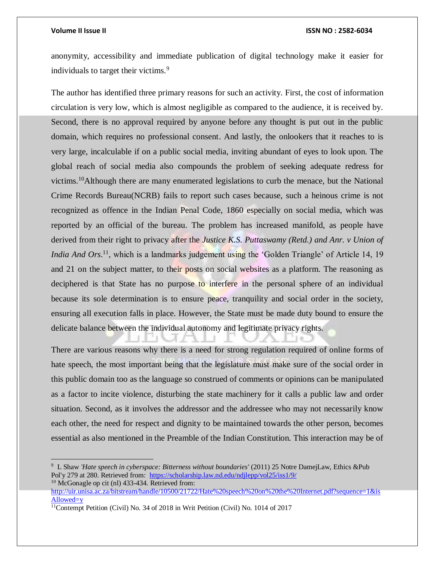### **Volume II Issue II ISSN NO : 2582-6034**

anonymity, accessibility and immediate publication of digital technology make it easier for individuals to target their victims.<sup>9</sup>

The author has identified three primary reasons for such an activity. First, the cost of information circulation is very low, which is almost negligible as compared to the audience, it is received by. Second, there is no approval required by anyone before any thought is put out in the public domain, which requires no professional consent. And lastly, the onlookers that it reaches to is very large, incalculable if on a public social media, inviting abundant of eyes to look upon. The global reach of social media also compounds the problem of seeking adequate redress for victims.<sup>10</sup>Although there are many enumerated legislations to curb the menace, but the National Crime Records Bureau(NCRB) fails to report such cases because, such a heinous crime is not recognized as offence in the Indian Penal Code, 1860 especially on social media, which was reported by an official of the bureau. The problem has increased manifold, as people have derived from their right to privacy after the *Justice K.S. Puttaswamy (Retd.) and Anr. v Union of India And Ors*.<sup>11</sup>, which is a landmarks judgement using the 'Golden Triangle' of Article 14, 19 and 21 on the subject matter, to their posts on social websites as a platform. The reasoning as deciphered is that State has no purpose to interfere in the personal sphere of an individual because its sole determination is to ensure peace, tranquility and social order in the society, ensuring all execution falls in place. However, the State must be made duty bound to ensure the delicate balance between the individual autonomy and legitimate privacy rights.

There are various reasons why there is a need for strong regulation required of online forms of hate speech, the most important being that the legislature must make sure of the social order in this public domain too as the language so construed of comments or opinions can be manipulated as a factor to incite violence, disturbing the state machinery for it calls a public law and order situation. Second, as it involves the addressor and the addressee who may not necessarily know each other, the need for respect and dignity to be maintained towards the other person, becomes essential as also mentioned in the Preamble of the Indian Constitution. This interaction may be of

<sup>9</sup> L Shaw *'Hate speech in cyberspace: Bitterness without boundaries'* (2011) 25 Notre DamejLaw, Ethics &Pub Pol'y 279 at 280. Retrieved from: <https://scholarship.law.nd.edu/ndjlepp/vol25/iss1/9/> <sup>10</sup> McGonagle op cit (nl) 433-434. Retrieved from:

[http://uir.unisa.ac.za/bitstream/handle/10500/21722/Hate%20speech%20on%20the%20Internet.pdf?sequence=1&is](http://uir.unisa.ac.za/bitstream/handle/10500/21722/Hate%20speech%20on%20the%20Internet.pdf?sequence=1&isAllowed=y) [Allowed=y](http://uir.unisa.ac.za/bitstream/handle/10500/21722/Hate%20speech%20on%20the%20Internet.pdf?sequence=1&isAllowed=y)

<sup>11</sup>Contempt Petition (Civil) No. 34 of 2018 in Writ Petition (Civil) No. 1014 of 2017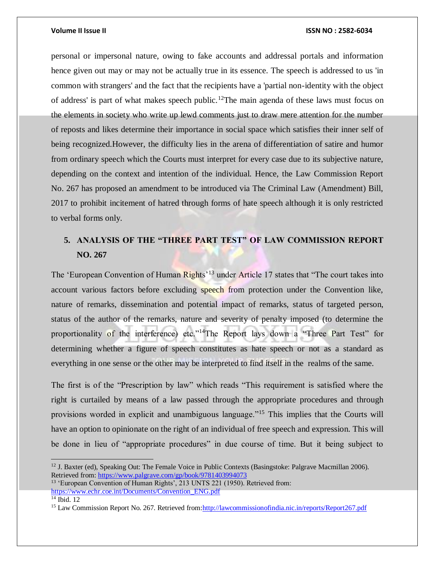personal or impersonal nature, owing to fake accounts and addressal portals and information hence given out may or may not be actually true in its essence. The speech is addressed to us 'in common with strangers' and the fact that the recipients have a 'partial non-identity with the object of address' is part of what makes speech public.<sup>12</sup>The main agenda of these laws must focus on the elements in society who write up lewd comments just to draw mere attention for the number of reposts and likes determine their importance in social space which satisfies their inner self of being recognized.However, the difficulty lies in the arena of differentiation of satire and humor from ordinary speech which the Courts must interpret for every case due to its subjective nature, depending on the context and intention of the individual. Hence, the Law Commission Report No. 267 has proposed an amendment to be introduced via The Criminal Law (Amendment) Bill, 2017 to prohibit incitement of hatred through forms of hate speech although it is only restricted to verbal forms only.

## **5. ANALYSIS OF THE "THREE PART TEST" OF LAW COMMISSION REPORT NO. 267**

The 'European Convention of Human Rights'<sup>13</sup> under Article 17 states that "The court takes into account various factors before excluding speech from protection under the Convention like, nature of remarks, dissemination and potential impact of remarks, status of targeted person, status of the author of the remarks, nature and severity of penalty imposed (to determine the proportionality of the interference) etc."<sup>14</sup>The Report lays down a "Three Part Test" for determining whether a figure of speech constitutes as hate speech or not as a standard as everything in one sense or the other may be interpreted to find itself in the realms of the same.

The first is of the "Prescription by law" which reads "This requirement is satisfied where the right is curtailed by means of a law passed through the appropriate procedures and through provisions worded in explicit and unambiguous language."<sup>15</sup> This implies that the Courts will have an option to opinionate on the right of an individual of free speech and expression. This will be done in lieu of "appropriate procedures" in due course of time. But it being subject to

 $12$  J. Baxter (ed), Speaking Out: The Female Voice in Public Contexts (Basingstoke: Palgrave Macmillan 2006). Retrieved from:<https://www.palgrave.com/gp/book/9781403994073>

<sup>&</sup>lt;sup>13</sup> 'European Convention of Human Rights', 213 UNTS 221 (1950). Retrieved from: [https://www.echr.coe.int/Documents/Convention\\_ENG.pdf](https://www.echr.coe.int/Documents/Convention_ENG.pdf)

 $14$  Ibid. 12

<sup>15</sup> Law Commission Report No. 267. Retrieved from[:http://lawcommissionofindia.nic.in/reports/Report267.pdf](http://lawcommissionofindia.nic.in/reports/Report267.pdf)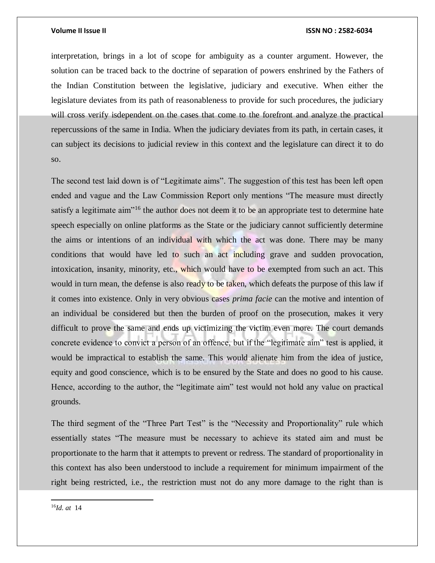interpretation, brings in a lot of scope for ambiguity as a counter argument. However, the solution can be traced back to the doctrine of separation of powers enshrined by the Fathers of the Indian Constitution between the legislative, judiciary and executive. When either the legislature deviates from its path of reasonableness to provide for such procedures, the judiciary will cross verify isdependent on the cases that come to the forefront and analyze the practical repercussions of the same in India. When the judiciary deviates from its path, in certain cases, it can subject its decisions to judicial review in this context and the legislature can direct it to do so.

The second test laid down is of "Legitimate aims". The suggestion of this test has been left open ended and vague and the Law Commission Report only mentions "The measure must directly satisfy a legitimate aim<sup>"16</sup> the author does not deem it to be an appropriate test to determine hate speech especially on online platforms as the State or the judiciary cannot sufficiently determine the aims or intentions of an individual with which the act was done. There may be many conditions that would have led to such an act including grave and sudden provocation, intoxication, insanity, minority, etc., which would have to be exempted from such an act. This would in turn mean, the defense is also ready to be taken, which defeats the purpose of this law if it comes into existence. Only in very obvious cases *prima facie* can the motive and intention of an individual be considered but then the burden of proof on the prosecution, makes it very difficult to prove the same and ends up victimizing the victim even more. The court demands concrete evidence to convict a person of an offence, but if the "legitimate aim" test is applied, it would be impractical to establish the same. This would alienate him from the idea of justice, equity and good conscience, which is to be ensured by the State and does no good to his cause. Hence, according to the author, the "legitimate aim" test would not hold any value on practical grounds.

The third segment of the "Three Part Test" is the "Necessity and Proportionality" rule which essentially states "The measure must be necessary to achieve its stated aim and must be proportionate to the harm that it attempts to prevent or redress. The standard of proportionality in this context has also been understood to include a requirement for minimum impairment of the right being restricted, i.e., the restriction must not do any more damage to the right than is

16*Id. at* 14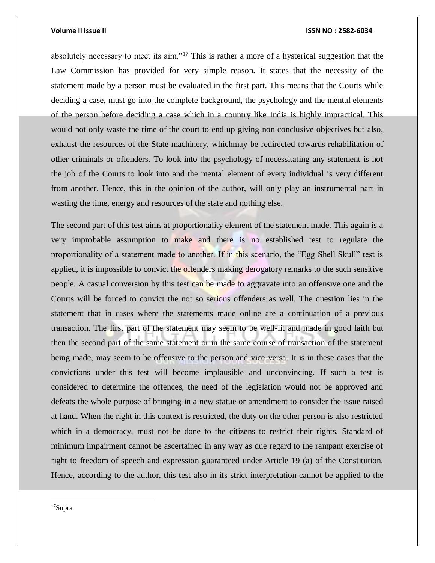absolutely necessary to meet its aim."<sup>17</sup> This is rather a more of a hysterical suggestion that the Law Commission has provided for very simple reason. It states that the necessity of the statement made by a person must be evaluated in the first part. This means that the Courts while deciding a case, must go into the complete background, the psychology and the mental elements of the person before deciding a case which in a country like India is highly impractical. This would not only waste the time of the court to end up giving non conclusive objectives but also, exhaust the resources of the State machinery, whichmay be redirected towards rehabilitation of other criminals or offenders. To look into the psychology of necessitating any statement is not the job of the Courts to look into and the mental element of every individual is very different from another. Hence, this in the opinion of the author, will only play an instrumental part in wasting the time, energy and resources of the state and nothing else.

The second part of this test aims at proportionality element of the statement made. This again is a very improbable assumption to make and there is no established test to regulate the proportionality of a statement made to another. If in this scenario, the "Egg Shell Skull" test is applied, it is impossible to convict the offenders making derogatory remarks to the such sensitive people. A casual conversion by this test can be made to aggravate into an offensive one and the Courts will be forced to convict the not so serious offenders as well. The question lies in the statement that in cases where the statements made online are a continuation of a previous transaction. The first part of the statement may seem to be well-lit and made in good faith but then the second part of the same statement or in the same course of transaction of the statement being made, may seem to be offensive to the person and vice versa. It is in these cases that the convictions under this test will become implausible and unconvincing. If such a test is considered to determine the offences, the need of the legislation would not be approved and defeats the whole purpose of bringing in a new statue or amendment to consider the issue raised at hand. When the right in this context is restricted, the duty on the other person is also restricted which in a democracy, must not be done to the citizens to restrict their rights. Standard of minimum impairment cannot be ascertained in any way as due regard to the rampant exercise of right to freedom of speech and expression guaranteed under Article 19 (a) of the Constitution. Hence, according to the author, this test also in its strict interpretation cannot be applied to the

17Supra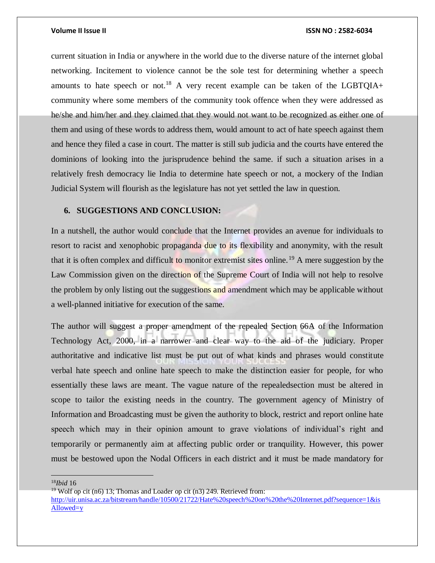current situation in India or anywhere in the world due to the diverse nature of the internet global networking. Incitement to violence cannot be the sole test for determining whether a speech amounts to hate speech or not.<sup>18</sup> A very recent example can be taken of the LGBTQIA+ community where some members of the community took offence when they were addressed as he/she and him/her and they claimed that they would not want to be recognized as either one of them and using of these words to address them, would amount to act of hate speech against them and hence they filed a case in court. The matter is still sub judicia and the courts have entered the dominions of looking into the jurisprudence behind the same. if such a situation arises in a relatively fresh democracy lie India to determine hate speech or not, a mockery of the Indian Judicial System will flourish as the legislature has not yet settled the law in question.

### **6. SUGGESTIONS AND CONCLUSION:**

In a nutshell, the author would conclude that the Internet provides an avenue for individuals to resort to racist and xenophobic propaganda due to its flexibility and anonymity, with the result that it is often complex and difficult to monitor extremist sites online.<sup>19</sup> A mere suggestion by the Law Commission given on the direction of the Supreme Court of India will not help to resolve the problem by only listing out the suggestions and amendment which may be applicable without a well-planned initiative for execution of the same.

The author will suggest a proper amendment of the repealed Section 66A of the Information Technology Act, 2000, in a narrower and clear way to the aid of the judiciary. Proper authoritative and indicative list must be put out of what kinds and phrases would constitute verbal hate speech and online hate speech to make the distinction easier for people, for who essentially these laws are meant. The vague nature of the repealedsection must be altered in scope to tailor the existing needs in the country. The government agency of Ministry of Information and Broadcasting must be given the authority to block, restrict and report online hate speech which may in their opinion amount to grave violations of individual's right and temporarily or permanently aim at affecting public order or tranquility. However, this power must be bestowed upon the Nodal Officers in each district and it must be made mandatory for

<sup>18</sup>*Ibid* 16

 $\overline{a}$ 

<sup>19</sup> Wolf op cit (n6) 13; Thomas and Loader op cit (n3) 249. Retrieved from:

[http://uir.unisa.ac.za/bitstream/handle/10500/21722/Hate%20speech%20on%20the%20Internet.pdf?sequence=1&is](http://uir.unisa.ac.za/bitstream/handle/10500/21722/Hate%20speech%20on%20the%20Internet.pdf?sequence=1&isAllowed=y) [Allowed=y](http://uir.unisa.ac.za/bitstream/handle/10500/21722/Hate%20speech%20on%20the%20Internet.pdf?sequence=1&isAllowed=y)